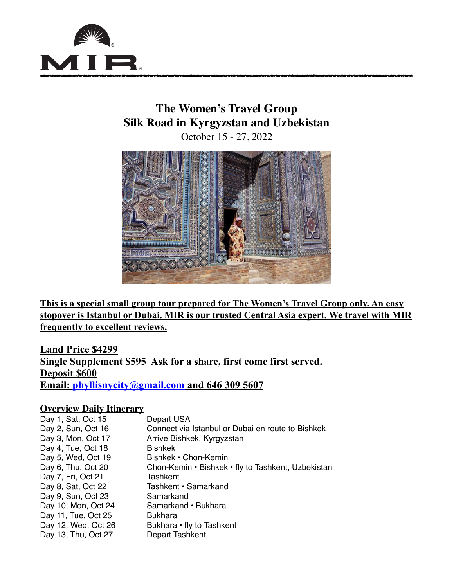

# **The Women's Travel Group Silk Road in Kyrgyzstan and Uzbekistan**

October 15 - 27, 2022



**This is a special small group tour prepared for The Women's Travel Group only. An easy stopover is Istanbul or Dubai. MIR is our trusted Central Asia expert. We travel with MIR frequently to excellent reviews.** 

**Land Price \$4299 Single Supplement \$595 Ask for a share, first come first served. Deposit \$600 Email: [phyllisnycity@gmail.com](mailto:phyllisnycity@gmail.com) and 646 309 5607** 

# **Overview Daily Itinerary**

| Day 1, Sat, Oct 15  | Depart USA                                         |
|---------------------|----------------------------------------------------|
| Day 2, Sun, Oct 16  | Connect via Istanbul or Dubai en route to Bishkek  |
| Day 3, Mon, Oct 17  | Arrive Bishkek, Kyrgyzstan                         |
| Day 4, Tue, Oct 18  | <b>Bishkek</b>                                     |
| Day 5, Wed, Oct 19  | Bishkek • Chon-Kemin                               |
| Day 6, Thu, Oct 20  | Chon-Kemin • Bishkek • fly to Tashkent, Uzbekistan |
| Day 7, Fri, Oct 21  | <b>Tashkent</b>                                    |
| Day 8, Sat, Oct 22  | Tashkent • Samarkand                               |
| Day 9, Sun, Oct 23  | Samarkand                                          |
| Day 10, Mon, Oct 24 | Samarkand · Bukhara                                |
| Day 11, Tue, Oct 25 | <b>Bukhara</b>                                     |
| Day 12, Wed, Oct 26 | Bukhara • fly to Tashkent                          |
| Day 13, Thu, Oct 27 | Depart Tashkent                                    |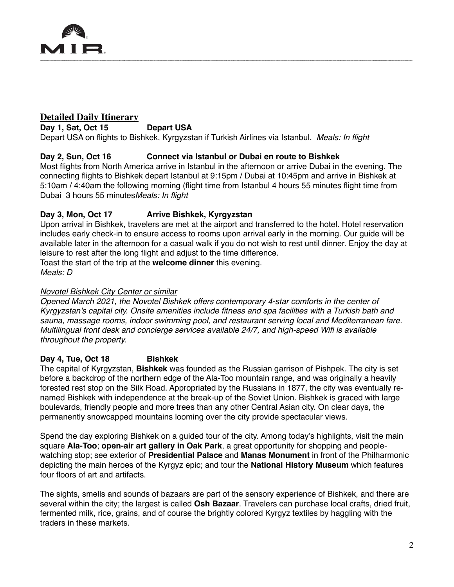

# **Detailed Daily Itinerary**

**Day 1, Sat, Oct 15 Depart USA** Depart USA on flights to Bishkek, Kyrgyzstan if Turkish Airlines via Istanbul. *Meals: In flight*

# **Day 2, Sun, Oct 16 Connect via Istanbul or Dubai en route to Bishkek**

Most flights from North America arrive in Istanbul in the afternoon or arrive Dubai in the evening. The connecting flights to Bishkek depart Istanbul at 9:15pm / Dubai at 10:45pm and arrive in Bishkek at 5:10am / 4:40am the following morning (flight time from Istanbul 4 hours 55 minutes flight time from Dubai 3 hours 55 minutes*Meals: In flight*

# **Day 3, Mon, Oct 17 Arrive Bishkek, Kyrgyzstan**

Upon arrival in Bishkek, travelers are met at the airport and transferred to the hotel. Hotel reservation includes early check-in to ensure access to rooms upon arrival early in the morning. Our guide will be available later in the afternoon for a casual walk if you do not wish to rest until dinner. Enjoy the day at leisure to rest after the long flight and adjust to the time difference.

Toast the start of the trip at the **welcome dinner** this evening. *Meals: D*

## *Novotel Bishkek City Center or similar*

*Opened March 2021, the Novotel Bishkek offers contemporary 4-star comforts in the center of Kyrgyzstan's capital city. Onsite amenities include fitness and spa facilities with a Turkish bath and sauna, massage rooms, indoor swimming pool, and restaurant serving local and Mediterranean fare. Multilingual front desk and concierge services available 24/7, and high-speed Wifi is available throughout the property.*

# Day 4, Tue, Oct 18 Bishkek

The capital of Kyrgyzstan, **Bishkek** was founded as the Russian garrison of Pishpek. The city is set before a backdrop of the northern edge of the Ala-Too mountain range, and was originally a heavily forested rest stop on the Silk Road. Appropriated by the Russians in 1877, the city was eventually renamed Bishkek with independence at the break-up of the Soviet Union. Bishkek is graced with large boulevards, friendly people and more trees than any other Central Asian city. On clear days, the permanently snowcapped mountains looming over the city provide spectacular views.

Spend the day exploring Bishkek on a guided tour of the city. Among today's highlights, visit the main square **Ala-Too**; **open-air art gallery in Oak Park**, a great opportunity for shopping and peoplewatching stop; see exterior of **Presidential Palace** and **Manas Monument** in front of the Philharmonic depicting the main heroes of the Kyrgyz epic; and tour the **National History Museum** which features four floors of art and artifacts.

The sights, smells and sounds of bazaars are part of the sensory experience of Bishkek, and there are several within the city; the largest is called **Osh Bazaar**. Travelers can purchase local crafts, dried fruit, fermented milk, rice, grains, and of course the brightly colored Kyrgyz textiles by haggling with the traders in these markets.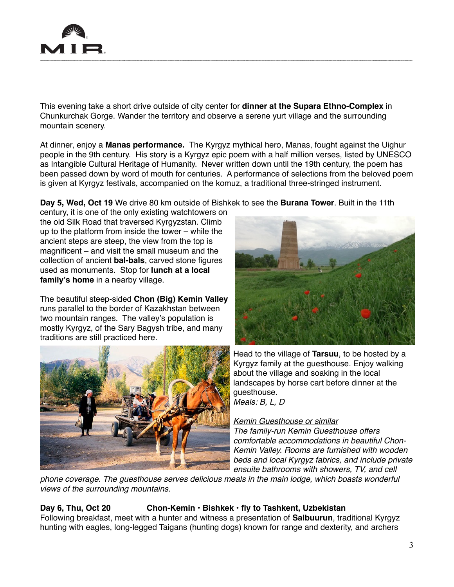

This evening take a short drive outside of city center for **dinner at the Supara Ethno-Complex** in Chunkurchak Gorge. Wander the territory and observe a serene yurt village and the surrounding mountain scenery.

At dinner, enjoy a **Manas performance.** The Kyrgyz mythical hero, Manas, fought against the Uighur people in the 9th century. His story is a Kyrgyz epic poem with a half million verses, listed by UNESCO as Intangible Cultural Heritage of Humanity. Never written down until the 19th century, the poem has been passed down by word of mouth for centuries. A performance of selections from the beloved poem is given at Kyrgyz festivals, accompanied on the komuz, a traditional three-stringed instrument.

#### **Day 5, Wed, Oct 19** We drive 80 km outside of Bishkek to see the **Burana Tower**. Built in the 11th

century, it is one of the only existing watchtowers on the old Silk Road that traversed Kyrgyzstan. Climb up to the platform from inside the tower – while the ancient steps are steep, the view from the top is magnificent – and visit the small museum and the collection of ancient **bal-bals**, carved stone figures used as monuments. Stop for **lunch at a local family's home** in a nearby village.

The beautiful steep-sided **Chon (Big) Kemin Valley** runs parallel to the border of Kazakhstan between two mountain ranges. The valley's population is mostly Kyrgyz, of the Sary Bagysh tribe, and many traditions are still practiced here.





Head to the village of **Tarsuu**, to be hosted by a Kyrgyz family at the guesthouse. Enjoy walking about the village and soaking in the local landscapes by horse cart before dinner at the guesthouse. *Meals: B, L, D*

#### *Kemin Guesthouse or similar*

*The family-run Kemin Guesthouse offers comfortable accommodations in beautiful Chon-Kemin Valley. Rooms are furnished with wooden beds and local Kyrgyz fabrics, and include private ensuite bathrooms with showers, TV, and cell* 

*phone coverage. The guesthouse serves delicious meals in the main lodge, which boasts wonderful views of the surrounding mountains.*

# **Day 6, Thu, Oct 20 Chon-Kemin • Bishkek • fly to Tashkent, Uzbekistan**

Following breakfast, meet with a hunter and witness a presentation of **Salbuurun**, traditional Kyrgyz hunting with eagles, long-legged Taigans (hunting dogs) known for range and dexterity, and archers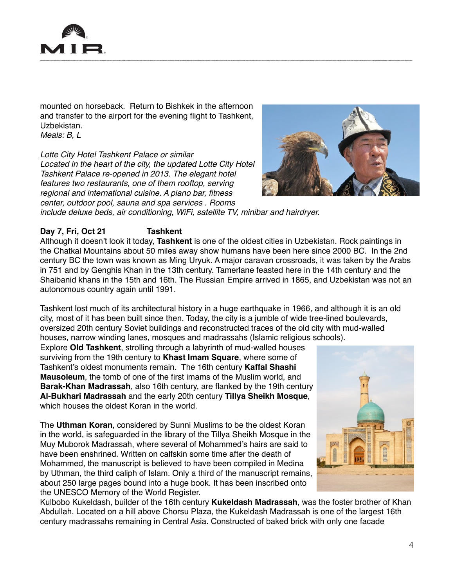

mounted on horseback. Return to Bishkek in the afternoon and transfer to the airport for the evening flight to Tashkent, Uzbekistan. *Meals: B, L*

#### *Lotte City Hotel Tashkent Palace or similar*

*Located in the heart of the city, the updated Lotte City Hotel Tashkent Palace re-opened in 2013. The elegant hotel features two restaurants, one of them rooftop, serving regional and international cuisine. A piano bar, fitness center, outdoor pool, sauna and spa services . Rooms* 



*include deluxe beds, air conditioning, WiFi, satellite TV, minibar and hairdryer.*

### **Day 7, Fri, Oct 21 Tashkent**

Although it doesn't look it today, **Tashkent** is one of the oldest cities in Uzbekistan. Rock paintings in the Chatkal Mountains about 50 miles away show humans have been here since 2000 BC. In the 2nd century BC the town was known as Ming Uryuk. A major caravan crossroads, it was taken by the Arabs in 751 and by Genghis Khan in the 13th century. Tamerlane feasted here in the 14th century and the Shaibanid khans in the 15th and 16th. The Russian Empire arrived in 1865, and Uzbekistan was not an autonomous country again until 1991.

Tashkent lost much of its architectural history in a huge earthquake in 1966, and although it is an old city, most of it has been built since then. Today, the city is a jumble of wide tree-lined boulevards, oversized 20th century Soviet buildings and reconstructed traces of the old city with mud-walled houses, narrow winding lanes, mosques and madrassahs (Islamic religious schools).

Explore **Old Tashkent**, strolling through a labyrinth of mud-walled houses surviving from the 19th century to **Khast Imam Square**, where some of Tashkent's oldest monuments remain. The 16th century **Kaffal Shashi Mausoleum**, the tomb of one of the first imams of the Muslim world, and **Barak-Khan Madrassah**, also 16th century, are flanked by the 19th century **Al-Bukhari Madrassah** and the early 20th century **Tillya Sheikh Mosque**, which houses the oldest Koran in the world.

The **Uthman Koran**, considered by Sunni Muslims to be the oldest Koran in the world, is safeguarded in the library of the Tillya Sheikh Mosque in the Muy Muborok Madrassah, where several of Mohammed's hairs are said to have been enshrined. Written on calfskin some time after the death of Mohammed, the manuscript is believed to have been compiled in Medina by Uthman, the third caliph of Islam. Only a third of the manuscript remains, about 250 large pages bound into a huge book. It has been inscribed onto the UNESCO Memory of the World Register.



Kulbobo Kukeldash, builder of the 16th century **Kukeldash Madrassah**, was the foster brother of Khan Abdullah. Located on a hill above Chorsu Plaza, the Kukeldash Madrassah is one of the largest 16th century madrassahs remaining in Central Asia. Constructed of baked brick with only one facade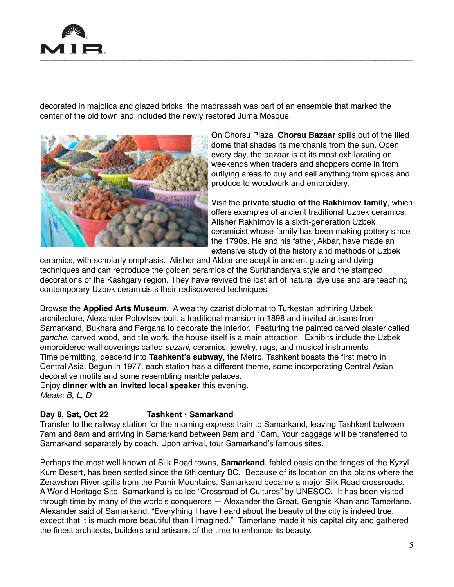

decorated in majolica and glazed bricks, the madrassah was part of an ensemble that marked the center of the old town and included the newly restored Juma Mosque.



On Chorsu Plaza **Chorsu Bazaar** spills out of the tiled dome that shades its merchants from the sun. Open every day, the bazaar is at its most exhilarating on weekends when traders and shoppers come in from outlying areas to buy and sell anything from spices and produce to woodwork and embroidery.

Visit the **private studio of the Rakhimov family**, which offers examples of ancient traditional Uzbek ceramics. Alisher Rakhimov is a sixth-generation Uzbek ceramicist whose family has been making pottery since the 1790s. He and his father, Akbar, have made an extensive study of the history and methods of Uzbek

ceramics, with scholarly emphasis. Alisher and Akbar are adept in ancient glazing and dying techniques and can reproduce the golden ceramics of the Surkhandarya style and the stamped decorations of the Kashgary region. They have revived the lost art of natural dye use and are teaching contemporary Uzbek ceramicists their rediscovered techniques.

Browse the **Applied Arts Museum**. A wealthy czarist diplomat to Turkestan admiring Uzbek architecture, Alexander Polovtsev built a traditional mansion in 1898 and invited artisans from Samarkand, Bukhara and Fergana to decorate the interior. Featuring the painted carved plaster called *ganche*, carved wood, and tile work, the house itself is a main attraction. Exhibits include the Uzbek embroidered wall coverings called *suzani*, ceramics, jewelry, rugs, and musical instruments. Time permitting, descend into **Tashkent's subway**, the Metro. Tashkent boasts the first metro in Central Asia. Begun in 1977, each station has a different theme, some incorporating Central Asian decorative motifs and some resembling marble palaces.

Enjoy **dinner with an invited local speaker** this evening. *Meals: B, L, D*

# **Day 8, Sat, Oct 22 Tashkent • Samarkand**

Transfer to the railway station for the morning express train to Samarkand, leaving Tashkent between 7am and 8am and arriving in Samarkand between 9am and 10am. Your baggage will be transferred to Samarkand separately by coach. Upon arrival, tour Samarkand's famous sites.

Perhaps the most well-known of Silk Road towns, **Samarkand**, fabled oasis on the fringes of the Kyzyl Kum Desert, has been settled since the 6th century BC. Because of its location on the plains where the Zeravshan River spills from the Pamir Mountains, Samarkand became a major Silk Road crossroads. A World Heritage Site, Samarkand is called "Crossroad of Cultures" by UNESCO. It has been visited through time by many of the world's conquerors — Alexander the Great, Genghis Khan and Tamerlane. Alexander said of Samarkand, "Everything I have heard about the beauty of the city is indeed true, except that it is much more beautiful than I imagined." Tamerlane made it his capital city and gathered the finest architects, builders and artisans of the time to enhance its beauty.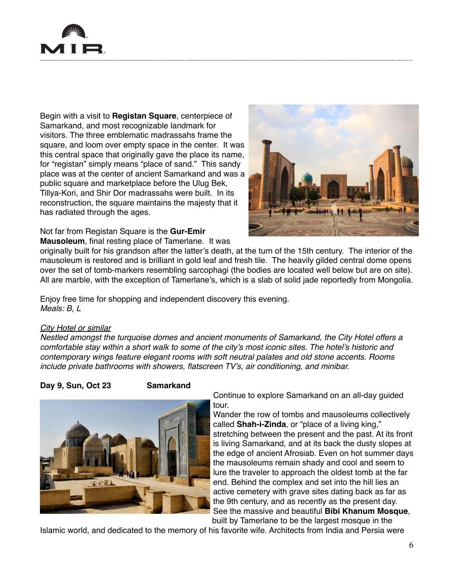

Begin with a visit to **Registan Square**, centerpiece of Samarkand, and most recognizable landmark for visitors. The three emblematic madrassahs frame the square, and loom over empty space in the center. It was this central space that originally gave the place its name, for "registan" simply means "place of sand." This sandy place was at the center of ancient Samarkand and was a public square and marketplace before the Ulug Bek, Tillya-Kori, and Shir Dor madrassahs were built. In its reconstruction, the square maintains the majesty that it has radiated through the ages.



#### Not far from Registan Square is the **Gur-Emir Mausoleum**, final resting place of Tamerlane. It was

originally built for his grandson after the latter's death, at the turn of the 15th century. The interior of the mausoleum is restored and is brilliant in gold leaf and fresh tile. The heavily gilded central dome opens over the set of tomb-markers resembling sarcophagi (the bodies are located well below but are on site). All are marble, with the exception of Tamerlane's, which is a slab of solid jade reportedly from Mongolia.

Enjoy free time for shopping and independent discovery this evening. *Meals: B, L*

#### *City Hotel or similar*

*Nestled amongst the turquoise domes and ancient monuments of Samarkand, the City Hotel offers a comfortable stay within a short walk to some of the city's most iconic sites. The hotel's historic and contemporary wings feature elegant rooms with soft neutral palates and old stone accents. Rooms include private bathrooms with showers, flatscreen TV's, air conditioning, and minibar.*

### **Day 9, Sun, Oct 23 Samarkand**



Continue to explore Samarkand on an all-day guided tour.

Wander the row of tombs and mausoleums collectively called **Shah-i-Zinda**, or "place of a living king," stretching between the present and the past. At its front is living Samarkand, and at its back the dusty slopes at the edge of ancient Afrosiab. Even on hot summer days the mausoleums remain shady and cool and seem to lure the traveler to approach the oldest tomb at the far end. Behind the complex and set into the hill lies an active cemetery with grave sites dating back as far as the 9th century, and as recently as the present day. See the massive and beautiful **Bibi Khanum Mosque**, built by Tamerlane to be the largest mosque in the

Islamic world, and dedicated to the memory of his favorite wife. Architects from India and Persia were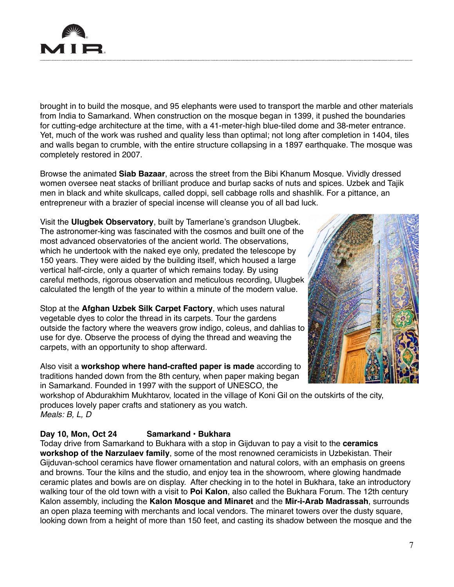

brought in to build the mosque, and 95 elephants were used to transport the marble and other materials from India to Samarkand. When construction on the mosque began in 1399, it pushed the boundaries for cutting-edge architecture at the time, with a 41-meter-high blue-tiled dome and 38-meter entrance. Yet, much of the work was rushed and quality less than optimal; not long after completion in 1404, tiles and walls began to crumble, with the entire structure collapsing in a 1897 earthquake. The mosque was completely restored in 2007.

Browse the animated **Siab Bazaar**, across the street from the Bibi Khanum Mosque. Vividly dressed women oversee neat stacks of brilliant produce and burlap sacks of nuts and spices. Uzbek and Tajik men in black and white skullcaps, called doppi, sell cabbage rolls and shashlik. For a pittance, an entrepreneur with a brazier of special incense will cleanse you of all bad luck.

Visit the **Ulugbek Observatory**, built by Tamerlane's grandson Ulugbek. The astronomer-king was fascinated with the cosmos and built one of the most advanced observatories of the ancient world. The observations, which he undertook with the naked eye only, predated the telescope by 150 years. They were aided by the building itself, which housed a large vertical half-circle, only a quarter of which remains today. By using careful methods, rigorous observation and meticulous recording, Ulugbek calculated the length of the year to within a minute of the modern value.

Stop at the **Afghan Uzbek Silk Carpet Factory**, which uses natural vegetable dyes to color the thread in its carpets. Tour the gardens outside the factory where the weavers grow indigo, coleus, and dahlias to use for dye. Observe the process of dying the thread and weaving the carpets, with an opportunity to shop afterward.

Also visit a **workshop where hand-crafted paper is made** according to traditions handed down from the 8th century, when paper making began in Samarkand. Founded in 1997 with the support of UNESCO, the

workshop of Abdurakhim Mukhtarov, located in the village of Koni Gil on the outskirts of the city, produces lovely paper crafts and stationery as you watch. *Meals: B, L, D*

# **Day 10, Mon, Oct 24 Samarkand • Bukhara**

Today drive from Samarkand to Bukhara with a stop in Gijduvan to pay a visit to the **ceramics workshop of the Narzulaev family**, some of the most renowned ceramicists in Uzbekistan. Their Gijduvan-school ceramics have flower ornamentation and natural colors, with an emphasis on greens and browns. Tour the kilns and the studio, and enjoy tea in the showroom, where glowing handmade ceramic plates and bowls are on display. After checking in to the hotel in Bukhara, take an introductory walking tour of the old town with a visit to **Poi Kalon**, also called the Bukhara Forum. The 12th century Kalon assembly, including the **Kalon Mosque and Minaret** and the **Mir-i-Arab Madrassah**, surrounds an open plaza teeming with merchants and local vendors. The minaret towers over the dusty square, looking down from a height of more than 150 feet, and casting its shadow between the mosque and the

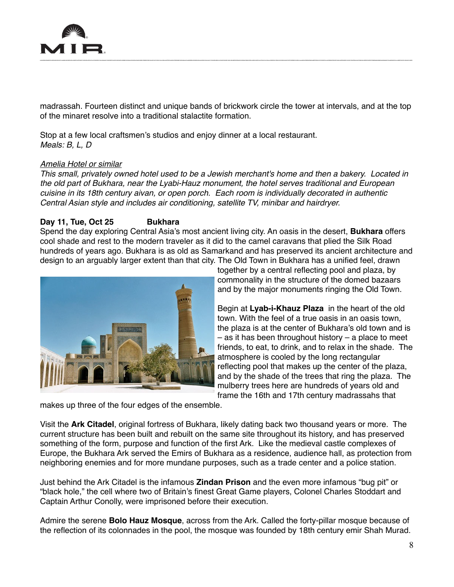

madrassah. Fourteen distinct and unique bands of brickwork circle the tower at intervals, and at the top of the minaret resolve into a traditional stalactite formation.

Stop at a few local craftsmen's studios and enjoy dinner at a local restaurant. *Meals: B, L, D*

### *Amelia Hotel or similar*

*This small, privately owned hotel used to be a Jewish merchant's home and then a bakery. Located in the old part of Bukhara, near the Lyabi-Hauz monument, the hotel serves traditional and European cuisine in its 18th century aivan, or open porch. Each room is individually decorated in authentic Central Asian style and includes air conditioning, satellite TV, minibar and hairdryer.*

### Day 11, Tue, Oct 25 **Bukhara**

Spend the day exploring Central Asia's most ancient living city. An oasis in the desert, **Bukhara** offers cool shade and rest to the modern traveler as it did to the camel caravans that plied the Silk Road hundreds of years ago. Bukhara is as old as Samarkand and has preserved its ancient architecture and design to an arguably larger extent than that city. The Old Town in Bukhara has a unified feel, drawn



together by a central reflecting pool and plaza, by commonality in the structure of the domed bazaars and by the major monuments ringing the Old Town.

Begin at **Lyab-i-Khauz Plaza** in the heart of the old town. With the feel of a true oasis in an oasis town, the plaza is at the center of Bukhara's old town and is – as it has been throughout history – a place to meet friends, to eat, to drink, and to relax in the shade. The atmosphere is cooled by the long rectangular reflecting pool that makes up the center of the plaza, and by the shade of the trees that ring the plaza. The mulberry trees here are hundreds of years old and frame the 16th and 17th century madrassahs that

makes up three of the four edges of the ensemble.

Visit the **Ark Citadel**, original fortress of Bukhara, likely dating back two thousand years or more. The current structure has been built and rebuilt on the same site throughout its history, and has preserved something of the form, purpose and function of the first Ark. Like the medieval castle complexes of Europe, the Bukhara Ark served the Emirs of Bukhara as a residence, audience hall, as protection from neighboring enemies and for more mundane purposes, such as a trade center and a police station.

Just behind the Ark Citadel is the infamous **Zindan Prison** and the even more infamous "bug pit" or "black hole," the cell where two of Britain's finest Great Game players, Colonel Charles Stoddart and Captain Arthur Conolly, were imprisoned before their execution.

Admire the serene **Bolo Hauz Mosque**, across from the Ark. Called the forty-pillar mosque because of the reflection of its colonnades in the pool, the mosque was founded by 18th century emir Shah Murad.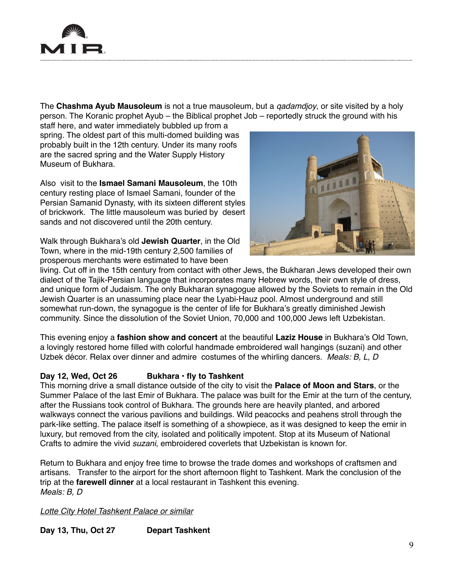

The **Chashma Ayub Mausoleum** is not a true mausoleum, but a *qadamdjoy*, or site visited by a holy person. The Koranic prophet Ayub – the Biblical prophet Job – reportedly struck the ground with his

staff here, and water immediately bubbled up from a spring. The oldest part of this multi-domed building was probably built in the 12th century. Under its many roofs are the sacred spring and the Water Supply History Museum of Bukhara.

Also visit to the **Ismael Samani Mausoleum**, the 10th century resting place of Ismael Samani, founder of the Persian Samanid Dynasty, with its sixteen different styles of brickwork. The little mausoleum was buried by desert sands and not discovered until the 20th century.

Walk through Bukhara's old **Jewish Quarter**, in the Old Town, where in the mid-19th century 2,500 families of prosperous merchants were estimated to have been



living. Cut off in the 15th century from contact with other Jews, the Bukharan Jews developed their own dialect of the Tajik-Persian language that incorporates many Hebrew words, their own style of dress, and unique form of Judaism. The only Bukharan synagogue allowed by the Soviets to remain in the Old Jewish Quarter is an unassuming place near the Lyabi-Hauz pool. Almost underground and still somewhat run-down, the synagogue is the center of life for Bukhara's greatly diminished Jewish community. Since the dissolution of the Soviet Union, 70,000 and 100,000 Jews left Uzbekistan.

This evening enjoy a **fashion show and concert** at the beautiful **Laziz House** in Bukhara's Old Town, a lovingly restored home filled with colorful handmade embroidered wall hangings (suzani) and other Uzbek décor. Relax over dinner and admire costumes of the whirling dancers. *Meals: B, L, D*

# Day 12, Wed, Oct 26 Bukhara · fly to Tashkent

This morning drive a small distance outside of the city to visit the **Palace of Moon and Stars**, or the Summer Palace of the last Emir of Bukhara. The palace was built for the Emir at the turn of the century, after the Russians took control of Bukhara. The grounds here are heavily planted, and arbored walkways connect the various pavilions and buildings. Wild peacocks and peahens stroll through the park-like setting. The palace itself is something of a showpiece, as it was designed to keep the emir in luxury, but removed from the city, isolated and politically impotent. Stop at its Museum of National Crafts to admire the vivid *suzani*, embroidered coverlets that Uzbekistan is known for.

Return to Bukhara and enjoy free time to browse the trade domes and workshops of craftsmen and artisans. Transfer to the airport for the short afternoon flight to Tashkent. Mark the conclusion of the trip at the **farewell dinner** at a local restaurant in Tashkent this evening. *Meals: B, D*

*Lotte City Hotel Tashkent Palace or similar*

**Day 13, Thu, Oct 27 Depart Tashkent**